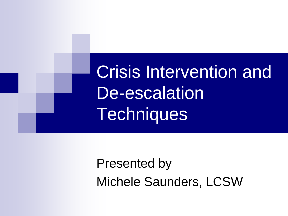Crisis Intervention and De-escalation **Techniques** 

Presented by Michele Saunders, LCSW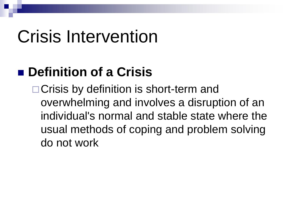#### ■ Definition of a Crisis

□ Crisis by definition is short-term and overwhelming and involves a disruption of an individual's normal and stable state where the usual methods of coping and problem solving do not work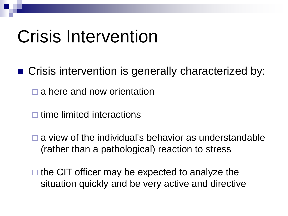- Crisis intervention is generally characterized by:
	- $\square$  a here and now orientation
	- $\Box$  time limited interactions
	- a view of the individual's behavior as understandable (rather than a pathological) reaction to stress
	- $\Box$  the CIT officer may be expected to analyze the situation quickly and be very active and directive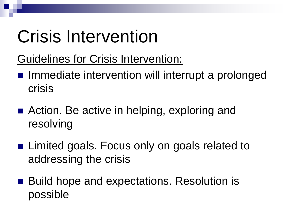Guidelines for Crisis Intervention:

- Immediate intervention will interrupt a prolonged crisis
- Action. Be active in helping, exploring and resolving
- Limited goals. Focus only on goals related to addressing the crisis
- Build hope and expectations. Resolution is possible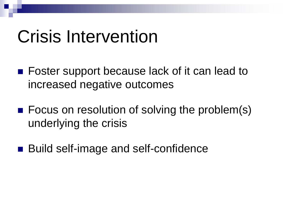- Foster support because lack of it can lead to increased negative outcomes
- Focus on resolution of solving the problem(s) underlying the crisis
- Build self-image and self-confidence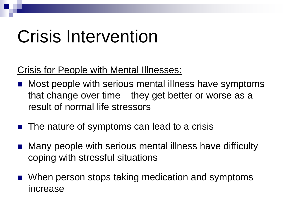#### Crisis for People with Mental Illnesses:

- **Most people with serious mental illness have symptoms** that change over time – they get better or worse as a result of normal life stressors
- The nature of symptoms can lead to a crisis
- Many people with serious mental illness have difficulty coping with stressful situations
- When person stops taking medication and symptoms increase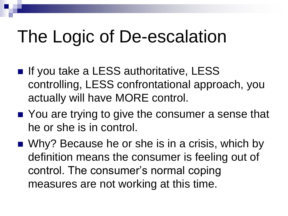## The Logic of De-escalation

- **If you take a LESS authoritative, LESS** controlling, LESS confrontational approach, you actually will have MORE control.
- You are trying to give the consumer a sense that he or she is in control.
- Why? Because he or she is in a crisis, which by definition means the consumer is feeling out of control. The consumer's normal coping measures are not working at this time.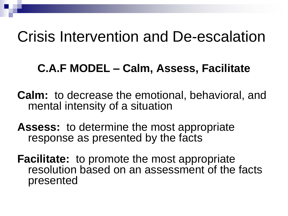#### Crisis Intervention and De-escalation

#### **C.A.F MODEL – Calm, Assess, Facilitate**

**Calm:** to decrease the emotional, behavioral, and mental intensity of a situation

**Assess:** to determine the most appropriate response as presented by the facts

**Facilitate:** to promote the most appropriate resolution based on an assessment of the facts presented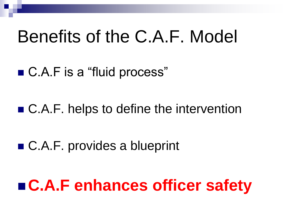## Benefits of the C.A.F. Model

#### ■ C.A.F is a "fluid process"

#### ■ C.A.F. helps to define the intervention

#### ■ C.A.F. provides a blueprint

## **C.A.F enhances officer safety**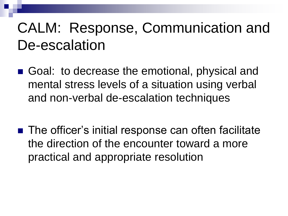#### CALM: Response, Communication and De-escalation

- Goal: to decrease the emotional, physical and mental stress levels of a situation using verbal and non-verbal de-escalation techniques
- The officer's initial response can often facilitate the direction of the encounter toward a more practical and appropriate resolution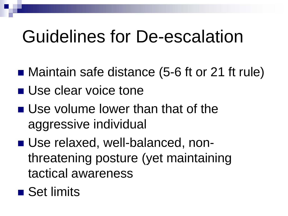## Guidelines for De-escalation

- Maintain safe distance (5-6 ft or 21 ft rule)
- **Use clear voice tone**
- **Use volume lower than that of the** aggressive individual
- Use relaxed, well-balanced, nonthreatening posture (yet maintaining tactical awareness
- Set limits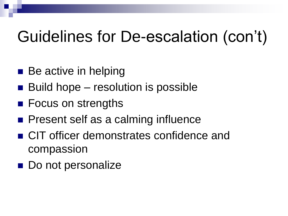- Be active in helping
- Build hope resolution is possible
- Focus on strengths
- **Present self as a calming influence**
- CIT officer demonstrates confidence and compassion
- Do not personalize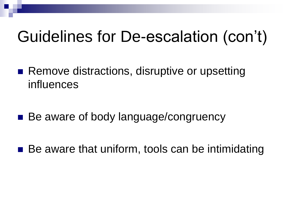- Remove distractions, disruptive or upsetting influences
- Be aware of body language/congruency
- Be aware that uniform, tools can be intimidating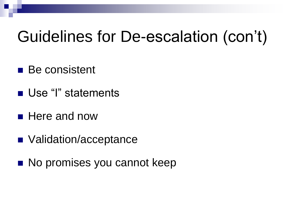- Be consistent
- Use "I" statements
- **Here and now**
- Validation/acceptance
- No promises you cannot keep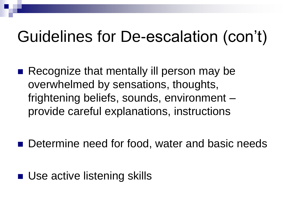- $\blacksquare$  Recognize that mentally ill person may be overwhelmed by sensations, thoughts, frightening beliefs, sounds, environment – provide careful explanations, instructions
- **Determine need for food, water and basic needs**
- Use active listening skills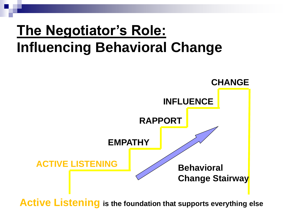#### **The Negotiator's Role: Influencing Behavioral Change**



**Active Listening is the foundation that supports everything else**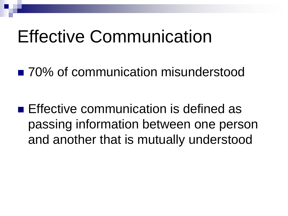## Effective Communication

■ 70% of communication misunderstood

**Effective communication is defined as** passing information between one person and another that is mutually understood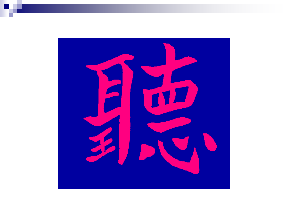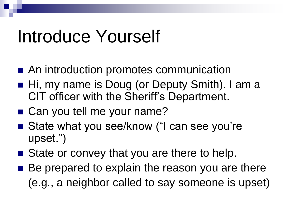## Introduce Yourself

- An introduction promotes communication
- Hi, my name is Doug (or Deputy Smith). I am a CIT officer with the Sheriff's Department.
- Can you tell me your name?
- State what you see/know ("I can see you're upset.")
- State or convey that you are there to help.
- Be prepared to explain the reason you are there (e.g., a neighbor called to say someone is upset)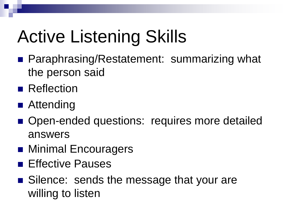## Active Listening Skills

- **Paraphrasing/Restatement: summarizing what** the person said
- Reflection
- Attending
- **Open-ended questions: requires more detailed** answers
- Minimal Encouragers
- **Effective Pauses**
- Silence: sends the message that your are willing to listen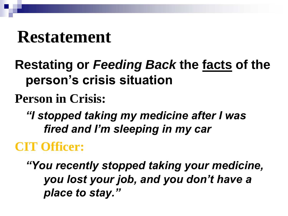#### **Restatement**

#### **Restating or** *Feeding Back* **the facts of the person's crisis situation**

#### **Person in Crisis:**

#### *"I stopped taking my medicine after I was fired and I'm sleeping in my car*

#### **CIT Officer:**

*"You recently stopped taking your medicine, you lost your job, and you don't have a place to stay."*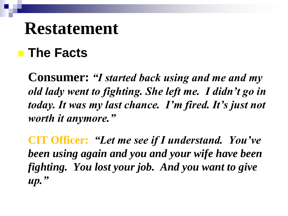#### **Restatement**

#### **The Facts**

**Consumer:** *"I started back using and me and my old lady went to fighting. She left me. I didn't go in today. It was my last chance. I'm fired. It's just not worth it anymore."*

**CIT Officer:** *"Let me see if I understand. You've been using again and you and your wife have been fighting. You lost your job. And you want to give up."*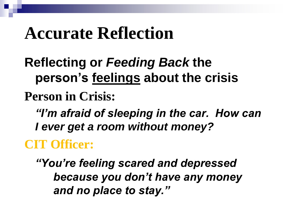## **Accurate Reflection**

## **Reflecting or** *Feeding Back* **the person's feelings about the crisis Person in Crisis:**

*"I'm afraid of sleeping in the car. How can I ever get a room without money?*

**CIT Officer:**

*"You're feeling scared and depressed because you don't have any money and no place to stay."*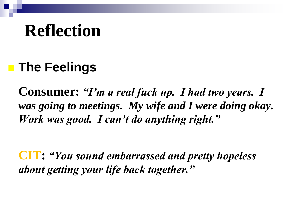#### **Reflection**

#### **The Feelings**

**Consumer:** *"I'm a real fuck up. I had two years. I was going to meetings. My wife and I were doing okay. Work was good. I can't do anything right."* 

**CIT:** *"You sound embarrassed and pretty hopeless about getting your life back together."*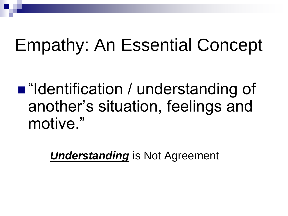## Empathy: An Essential Concept

■ "Identification / understanding of another's situation, feelings and motive."

*Understanding* is Not Agreement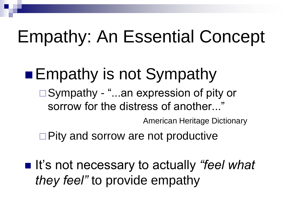## Empathy: An Essential Concept

## **Empathy is not Sympathy**

Sympathy - "...an expression of pity or sorrow for the distress of another..."

American Heritage Dictionary

 $\Box$  Pity and sorrow are not productive

■ It's not necessary to actually "feel what *they feel"* to provide empathy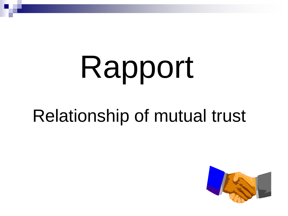# Rapport

## Relationship of mutual trust

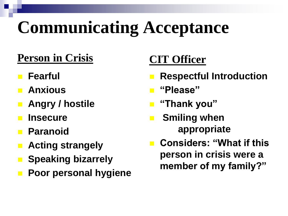## **Communicating Acceptance**

#### **Person in Crisis**

- **Fearful**
- **Anxious**
- **Angry / hostile**
- **Insecure**
- **Paranoid**
- **Acting strangely**
- **Speaking bizarrely**
- **Poor personal hygiene**

#### **CIT Officer**

- **Respectful Introduction**
- **"Please"**
- **"Thank you"**
- **E** Smiling when **appropriate**
- Considers: "What if this **person in crisis were a member of my family?"**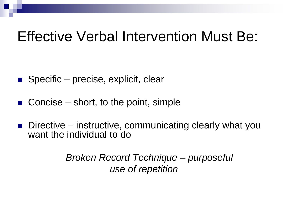#### Effective Verbal Intervention Must Be:

- Specific precise, explicit, clear
- Concise short, to the point, simple
- Directive instructive, communicating clearly what you want the individual to do

*Broken Record Technique – purposeful use of repetition*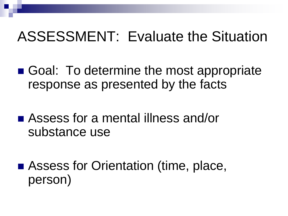#### ASSESSMENT: Evaluate the Situation

- Goal: To determine the most appropriate response as presented by the facts
- Assess for a mental illness and/or substance use
- Assess for Orientation (time, place, person)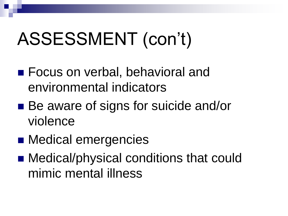## ASSESSMENT (con't)

- **Focus on verbal, behavioral and** environmental indicators
- Be aware of signs for suicide and/or violence
- Medical emergencies
- Medical/physical conditions that could mimic mental illness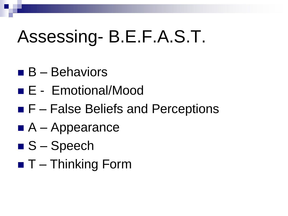## Assessing- B.E.F.A.S.T.

- $B -$ Behaviors
- E Emotional/Mood
- $\blacksquare$  F False Beliefs and Perceptions
- $\blacksquare$  A Appearance
- $\blacksquare$  S Speech
- $\blacksquare$  T Thinking Form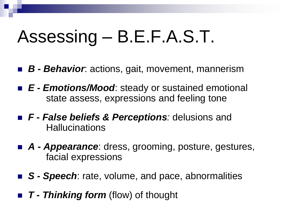## Assessing – B.E.F.A.S.T.

- *B - Behavior*: actions, gait, movement, mannerism
- *E - Emotions/Mood*: steady or sustained emotional state assess, expressions and feeling tone
- *F - False beliefs & Perceptions:* delusions and **Hallucinations**
- *A Appearance*: dress, grooming, posture, gestures, facial expressions
- S *Speech*: rate, volume, and pace, abnormalities
- *T - Thinking form* (flow) of thought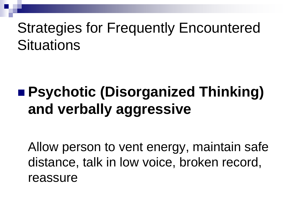#### **Psychotic (Disorganized Thinking) and verbally aggressive**

 Allow person to vent energy, maintain safe distance, talk in low voice, broken record, reassure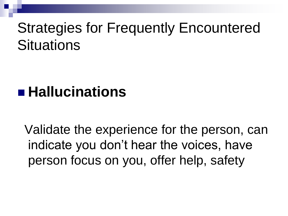#### **Hallucinations**

 Validate the experience for the person, can indicate you don't hear the voices, have person focus on you, offer help, safety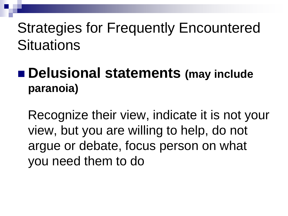#### **Delusional statements (may include paranoia)**

 Recognize their view, indicate it is not your view, but you are willing to help, do not argue or debate, focus person on what you need them to do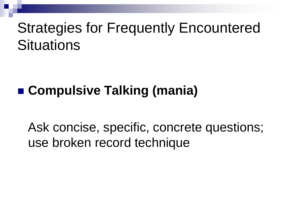#### **Compulsive Talking (mania)**

 Ask concise, specific, concrete questions; use broken record technique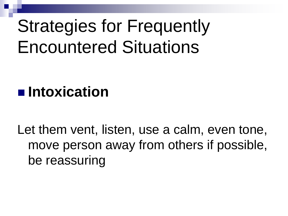#### **Intoxication**

Let them vent, listen, use a calm, even tone, move person away from others if possible, be reassuring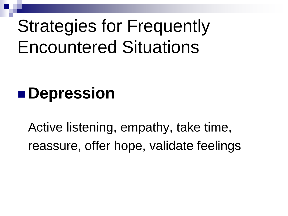## ■Depression

Active listening, empathy, take time, reassure, offer hope, validate feelings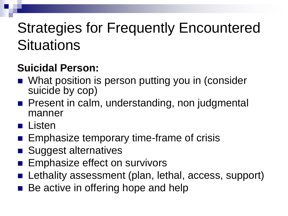#### **Suicidal Person:**

- What position is person putting you in (consider suicide by cop)
- **Present in calm, understanding, non judgmental** manner
- Listen
- **Emphasize temporary time-frame of crisis**
- Suggest alternatives
- Emphasize effect on survivors
- Lethality assessment (plan, lethal, access, support)
- Be active in offering hope and help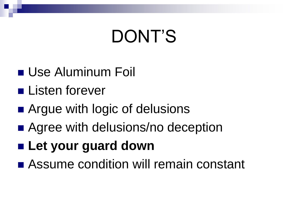## DONT'S

- **Use Aluminum Foil**
- **Listen forever**
- Argue with logic of delusions
- Agree with delusions/no deception
- **Let your guard down**
- Assume condition will remain constant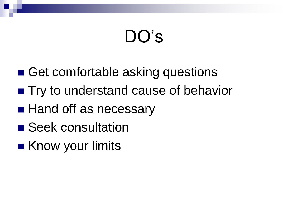## DO's

- Get comfortable asking questions
- Try to understand cause of behavior
- Hand off as necessary
- Seek consultation
- **Know your limits**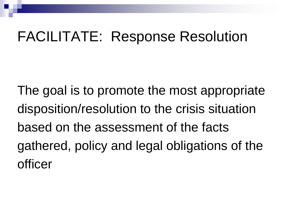#### FACILITATE: Response Resolution

The goal is to promote the most appropriate disposition/resolution to the crisis situation based on the assessment of the facts gathered, policy and legal obligations of the officer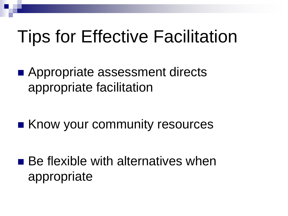## Tips for Effective Facilitation

■ Appropriate assessment directs appropriate facilitation

■ Know your community resources

 $\blacksquare$  Be flexible with alternatives when appropriate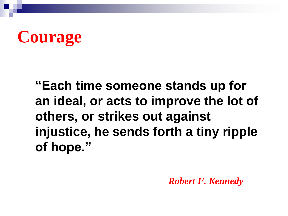## **Courage**

**"Each time someone stands up for an ideal, or acts to improve the lot of others, or strikes out against injustice, he sends forth a tiny ripple of hope."**

*Robert F. Kennedy*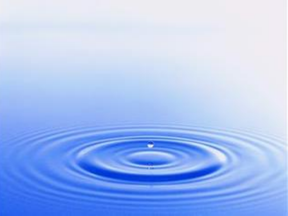